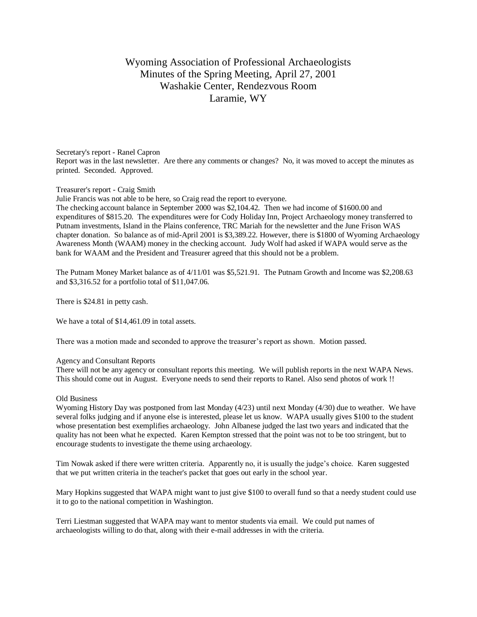# Wyoming Association of Professional Archaeologists Minutes of the Spring Meeting, April 27, 2001 Washakie Center, Rendezvous Room Laramie, WY

## Secretary's report - Ranel Capron Report was in the last newsletter. Are there any comments or changes? No, it was moved to accept the minutes as printed. Seconded. Approved.

## Treasurer's report - Craig Smith

Julie Francis was not able to be here, so Craig read the report to everyone.

The checking account balance in September 2000 was \$2,104.42. Then we had income of \$1600.00 and expenditures of \$815.20. The expenditures were for Cody Holiday Inn, Project Archaeology money transferred to Putnam investments, Island in the Plains conference, TRC Mariah for the newsletter and the June Frison WAS chapter donation. So balance as of mid-April 2001 is \$3,389.22. However, there is \$1800 of Wyoming Archaeology Awareness Month (WAAM) money in the checking account. Judy Wolf had asked if WAPA would serve as the bank for WAAM and the President and Treasurer agreed that this should not be a problem.

The Putnam Money Market balance as of 4/11/01 was \$5,521.91. The Putnam Growth and Income was \$2,208.63 and \$3,316.52 for a portfolio total of \$11,047.06.

There is \$24.81 in petty cash.

We have a total of \$14,461.09 in total assets.

There was a motion made and seconded to approve the treasurer's report as shown. Motion passed.

#### Agency and Consultant Reports

There will not be any agency or consultant reports this meeting. We will publish reports in the next WAPA News. This should come out in August. Everyone needs to send their reports to Ranel. Also send photos of work !!

#### Old Business

Wyoming History Day was postponed from last Monday (4/23) until next Monday (4/30) due to weather. We have several folks judging and if anyone else is interested, please let us know. WAPA usually gives \$100 to the student whose presentation best exemplifies archaeology. John Albanese judged the last two years and indicated that the quality has not been what he expected. Karen Kempton stressed that the point was not to be too stringent, but to encourage students to investigate the theme using archaeology.

Tim Nowak asked if there were written criteria. Apparently no, it is usually the judge's choice. Karen suggested that we put written criteria in the teacher's packet that goes out early in the school year.

Mary Hopkins suggested that WAPA might want to just give \$100 to overall fund so that a needy student could use it to go to the national competition in Washington.

Terri Liestman suggested that WAPA may want to mentor students via email. We could put names of archaeologists willing to do that, along with their e-mail addresses in with the criteria.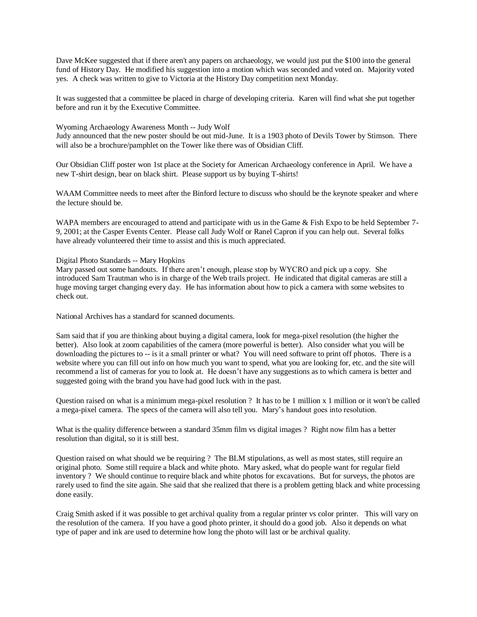Dave McKee suggested that if there aren't any papers on archaeology, we would just put the \$100 into the general fund of History Day. He modified his suggestion into a motion which was seconded and voted on. Majority voted yes. A check was written to give to Victoria at the History Day competition next Monday.

It was suggested that a committee be placed in charge of developing criteria. Karen will find what she put together before and run it by the Executive Committee.

### Wyoming Archaeology Awareness Month -- Judy Wolf

Judy announced that the new poster should be out mid-June. It is a 1903 photo of Devils Tower by Stimson. There will also be a brochure/pamphlet on the Tower like there was of Obsidian Cliff.

Our Obsidian Cliff poster won 1st place at the Society for American Archaeology conference in April. We have a new T-shirt design, bear on black shirt. Please support us by buying T-shirts!

WAAM Committee needs to meet after the Binford lecture to discuss who should be the keynote speaker and where the lecture should be.

WAPA members are encouraged to attend and participate with us in the Game & Fish Expo to be held September 7-9, 2001; at the Casper Events Center. Please call Judy Wolf or Ranel Capron if you can help out. Several folks have already volunteered their time to assist and this is much appreciated.

Digital Photo Standards -- Mary Hopkins

Mary passed out some handouts. If there aren't enough, please stop by WYCRO and pick up a copy. She introduced Sam Trautman who is in charge of the Web trails project. He indicated that digital cameras are still a huge moving target changing every day. He has information about how to pick a camera with some websites to check out.

National Archives has a standard for scanned documents.

Sam said that if you are thinking about buying a digital camera, look for mega-pixel resolution (the higher the better). Also look at zoom capabilities of the camera (more powerful is better). Also consider what you will be downloading the pictures to -- is it a small printer or what? You will need software to print off photos. There is a website where you can fill out info on how much you want to spend, what you are looking for, etc. and the site will recommend a list of cameras for you to look at. He doesn't have any suggestions as to which camera is better and suggested going with the brand you have had good luck with in the past.

Question raised on what is a minimum mega-pixel resolution ? It has to be 1 million x 1 million or it won't be called a mega-pixel camera. The specs of the camera will also tell you. Mary's handout goes into resolution.

What is the quality difference between a standard 35mm film vs digital images ? Right now film has a better resolution than digital, so it is still best.

Question raised on what should we be requiring ? The BLM stipulations, as well as most states, still require an original photo. Some still require a black and white photo. Mary asked, what do people want for regular field inventory ? We should continue to require black and white photos for excavations. But for surveys, the photos are rarely used to find the site again. She said that she realized that there is a problem getting black and white processing done easily.

Craig Smith asked if it was possible to get archival quality from a regular printer vs color printer. This will vary on the resolution of the camera. If you have a good photo printer, it should do a good job. Also it depends on what type of paper and ink are used to determine how long the photo will last or be archival quality.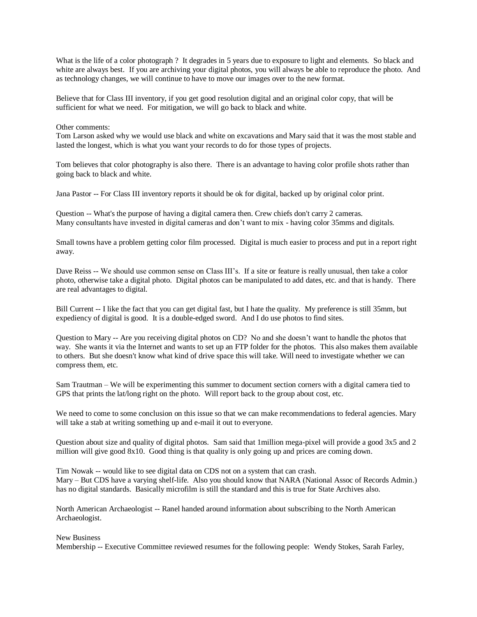What is the life of a color photograph ? It degrades in 5 years due to exposure to light and elements. So black and white are always best. If you are archiving your digital photos, you will always be able to reproduce the photo. And as technology changes, we will continue to have to move our images over to the new format.

Believe that for Class III inventory, if you get good resolution digital and an original color copy, that will be sufficient for what we need. For mitigation, we will go back to black and white.

### Other comments:

Tom Larson asked why we would use black and white on excavations and Mary said that it was the most stable and lasted the longest, which is what you want your records to do for those types of projects.

Tom believes that color photography is also there. There is an advantage to having color profile shots rather than going back to black and white.

Jana Pastor -- For Class III inventory reports it should be ok for digital, backed up by original color print.

Question -- What's the purpose of having a digital camera then. Crew chiefs don't carry 2 cameras. Many consultants have invested in digital cameras and don't want to mix - having color 35mms and digitals.

Small towns have a problem getting color film processed. Digital is much easier to process and put in a report right away.

Dave Reiss -- We should use common sense on Class III's. If a site or feature is really unusual, then take a color photo, otherwise take a digital photo. Digital photos can be manipulated to add dates, etc. and that is handy. There are real advantages to digital.

Bill Current -- I like the fact that you can get digital fast, but I hate the quality. My preference is still 35mm, but expediency of digital is good. It is a double-edged sword. And I do use photos to find sites.

Question to Mary -- Are you receiving digital photos on CD? No and she doesn't want to handle the photos that way. She wants it via the Internet and wants to set up an FTP folder for the photos. This also makes them available to others. But she doesn't know what kind of drive space this will take. Will need to investigate whether we can compress them, etc.

Sam Trautman – We will be experimenting this summer to document section corners with a digital camera tied to GPS that prints the lat/long right on the photo. Will report back to the group about cost, etc.

We need to come to some conclusion on this issue so that we can make recommendations to federal agencies. Mary will take a stab at writing something up and e-mail it out to everyone.

Question about size and quality of digital photos. Sam said that 1million mega-pixel will provide a good 3x5 and 2 million will give good 8x10. Good thing is that quality is only going up and prices are coming down.

Tim Nowak -- would like to see digital data on CDS not on a system that can crash. Mary – But CDS have a varying shelf-life. Also you should know that NARA (National Assoc of Records Admin.) has no digital standards. Basically microfilm is still the standard and this is true for State Archives also.

North American Archaeologist -- Ranel handed around information about subscribing to the North American Archaeologist.

New Business

Membership -- Executive Committee reviewed resumes for the following people: Wendy Stokes, Sarah Farley,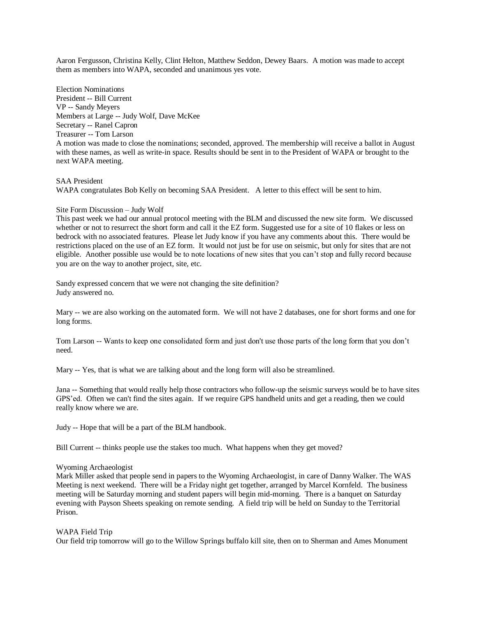Aaron Fergusson, Christina Kelly, Clint Helton, Matthew Seddon, Dewey Baars. A motion was made to accept them as members into WAPA, seconded and unanimous yes vote.

Election Nominations President -- Bill Current VP -- Sandy Meyers Members at Large -- Judy Wolf, Dave McKee Secretary -- Ranel Capron Treasurer -- Tom Larson A motion was made to close the nominations; seconded, approved. The membership will receive a ballot in August with these names, as well as write-in space. Results should be sent in to the President of WAPA or brought to the next WAPA meeting.

SAA President WAPA congratulates Bob Kelly on becoming SAA President. A letter to this effect will be sent to him.

## Site Form Discussion – Judy Wolf

This past week we had our annual protocol meeting with the BLM and discussed the new site form. We discussed whether or not to resurrect the short form and call it the EZ form. Suggested use for a site of 10 flakes or less on bedrock with no associated features. Please let Judy know if you have any comments about this. There would be restrictions placed on the use of an EZ form. It would not just be for use on seismic, but only for sites that are not eligible. Another possible use would be to note locations of new sites that you can't stop and fully record because you are on the way to another project, site, etc.

Sandy expressed concern that we were not changing the site definition? Judy answered no.

Mary -- we are also working on the automated form. We will not have 2 databases, one for short forms and one for long forms.

Tom Larson -- Wants to keep one consolidated form and just don't use those parts of the long form that you don't need.

Mary -- Yes, that is what we are talking about and the long form will also be streamlined.

Jana -- Something that would really help those contractors who follow-up the seismic surveys would be to have sites GPS'ed. Often we can't find the sites again. If we require GPS handheld units and get a reading, then we could really know where we are.

Judy -- Hope that will be a part of the BLM handbook.

Bill Current -- thinks people use the stakes too much. What happens when they get moved?

### Wyoming Archaeologist

Mark Miller asked that people send in papers to the Wyoming Archaeologist, in care of Danny Walker. The WAS Meeting is next weekend. There will be a Friday night get together, arranged by Marcel Kornfeld. The business meeting will be Saturday morning and student papers will begin mid-morning. There is a banquet on Saturday evening with Payson Sheets speaking on remote sending. A field trip will be held on Sunday to the Territorial Prison.

### WAPA Field Trip

Our field trip tomorrow will go to the Willow Springs buffalo kill site, then on to Sherman and Ames Monument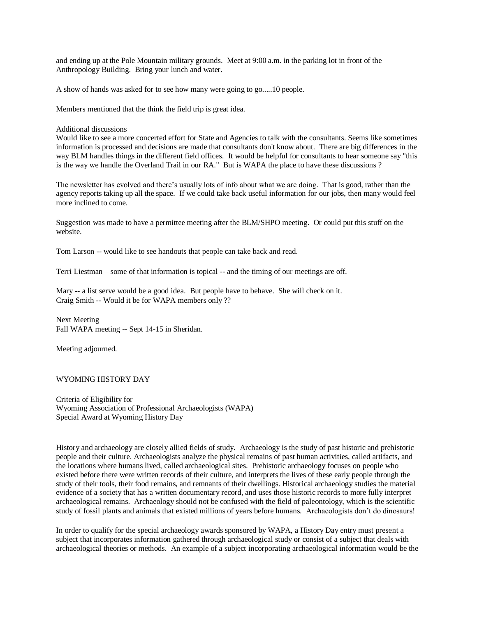and ending up at the Pole Mountain military grounds. Meet at 9:00 a.m. in the parking lot in front of the Anthropology Building. Bring your lunch and water.

A show of hands was asked for to see how many were going to go.....10 people.

Members mentioned that the think the field trip is great idea.

### Additional discussions

Would like to see a more concerted effort for State and Agencies to talk with the consultants. Seems like sometimes information is processed and decisions are made that consultants don't know about. There are big differences in the way BLM handles things in the different field offices. It would be helpful for consultants to hear someone say "this is the way we handle the Overland Trail in our RA." But is WAPA the place to have these discussions ?

The newsletter has evolved and there's usually lots of info about what we are doing. That is good, rather than the agency reports taking up all the space. If we could take back useful information for our jobs, then many would feel more inclined to come.

Suggestion was made to have a permittee meeting after the BLM/SHPO meeting. Or could put this stuff on the website.

Tom Larson -- would like to see handouts that people can take back and read.

Terri Liestman – some of that information is topical -- and the timing of our meetings are off.

Mary -- a list serve would be a good idea. But people have to behave. She will check on it. Craig Smith -- Would it be for WAPA members only ??

Next Meeting Fall WAPA meeting -- Sept 14-15 in Sheridan.

Meeting adjourned.

# WYOMING HISTORY DAY

Criteria of Eligibility for Wyoming Association of Professional Archaeologists (WAPA) Special Award at Wyoming History Day

History and archaeology are closely allied fields of study. Archaeology is the study of past historic and prehistoric people and their culture. Archaeologists analyze the physical remains of past human activities, called artifacts, and the locations where humans lived, called archaeological sites. Prehistoric archaeology focuses on people who existed before there were written records of their culture, and interprets the lives of these early people through the study of their tools, their food remains, and remnants of their dwellings. Historical archaeology studies the material evidence of a society that has a written documentary record, and uses those historic records to more fully interpret archaeological remains. Archaeology should not be confused with the field of paleontology, which is the scientific study of fossil plants and animals that existed millions of years before humans. Archaeologists don't do dinosaurs!

In order to qualify for the special archaeology awards sponsored by WAPA, a History Day entry must present a subject that incorporates information gathered through archaeological study or consist of a subject that deals with archaeological theories or methods. An example of a subject incorporating archaeological information would be the